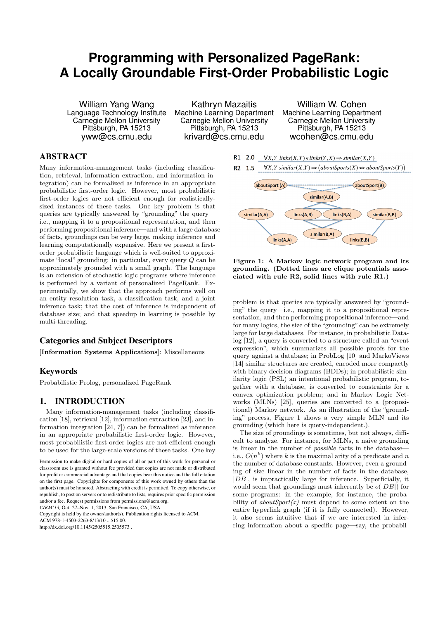# **Programming with Personalized PageRank: A Locally Groundable First-Order Probabilistic Logic**

William Yang Wang Language Technology Institute Carnegie Mellon University Pittsburgh, PA 15213 yww@cs.cmu.edu

Kathryn Mazaitis Machine Learning Department Carnegie Mellon University Pittsburgh, PA 15213 krivard@cs.cmu.edu

William W. Cohen Machine Learning Department Carnegie Mellon University Pittsburgh, PA 15213 wcohen@cs.cmu.edu

## ABSTRACT

Many information-management tasks (including classification, retrieval, information extraction, and information integration) can be formalized as inference in an appropriate probabilistic first-order logic. However, most probabilistic first-order logics are not efficient enough for realisticallysized instances of these tasks. One key problem is that queries are typically answered by "grounding" the query i.e., mapping it to a propositional representation, and then performing propositional inference—and with a large database of facts, groundings can be very large, making inference and learning computationally expensive. Here we present a firstorder probabilistic language which is well-suited to approximate "local" grounding: in particular, every query Q can be approximately grounded with a small graph. The language is an extension of stochastic logic programs where inference is performed by a variant of personalized PageRank. Experimentally, we show that the approach performs well on an entity resolution task, a classification task, and a joint inference task; that the cost of inference is independent of database size; and that speedup in learning is possible by multi-threading.

#### Categories and Subject Descriptors

[Information Systems Applications]: Miscellaneous

### Keywords

Probabilistic Prolog, personalized PageRank

#### 1. INTRODUCTION

Many information-management tasks (including classification [18], retrieval [12], information extraction [23], and information integration [24, 7]) can be formalized as inference in an appropriate probabilistic first-order logic. However, most probabilistic first-order logics are not efficient enough to be used for the large-scale versions of these tasks. One key

*CIKM'13,* Oct. 27–Nov. 1, 2013, San Francisco, CA, USA.

Copyright is held by the owner/author(s). Publication rights licensed to ACM.

ACM 978-1-4503-2263-8/13/10 \$15.00

http://dx.doi.org/10.1145/2505515.2505573 .





Figure 1: A Markov logic network program and its grounding. (Dotted lines are clique potentials associated with rule R2, solid lines with rule R1.)

problem is that queries are typically answered by "grounding" the query—i.e., mapping it to a propositional representation, and then performing propositional inference—and for many logics, the size of the "grounding" can be extremely large for large databases. For instance, in probabilistic Datalog [12], a query is converted to a structure called an "event expression", which summarizes all possible proofs for the query against a database; in ProbLog [10] and MarkoViews [14] similar structures are created, encoded more compactly with binary decision diagrams (BDDs); in probabilistic similarity logic (PSL) an intentional probabilistic program, together with a database, is converted to constraints for a convex optimization problem; and in Markov Logic Networks (MLNs) [25], queries are converted to a (propositional) Markov network. As an illustration of the "grounding" process, Figure 1 shows a very simple MLN and its grounding (which here is query-independent.).

The size of groundings is sometimes, but not always, difficult to analyze. For instance, for MLNs, a naive grounding is linear in the number of possible facts in the database i.e.,  $O(n^k)$  where k is the maximal arity of a predicate and n the number of database constants. However, even a grounding of size linear in the number of facts in the database,  $|DB|$ , is impractically large for inference. Superficially, it would seem that groundings must inherently be  $o(|DB|)$  for some programs: in the example, for instance, the probability of  $aboutSportsport(x)$  must depend to some extent on the entire hyperlink graph (if it is fully connected). However, it also seems intuitive that if we are interested in inferring information about a specific page—say, the probabil-

Permission to make digital or hard copies of all or part of this work for personal or classroom use is granted without fee provided that copies are not made or distributed for profit or commercial advantage and that copies bear this notice and the full citation on the first page. Copyrights for components of this work owned by others than the author(s) must be honored. Abstracting with credit is permitted. To copy otherwise, or republish, to post on servers or to redistribute to lists, requires prior specific permission and/or a fee. Request permissions from permissions@acm.org.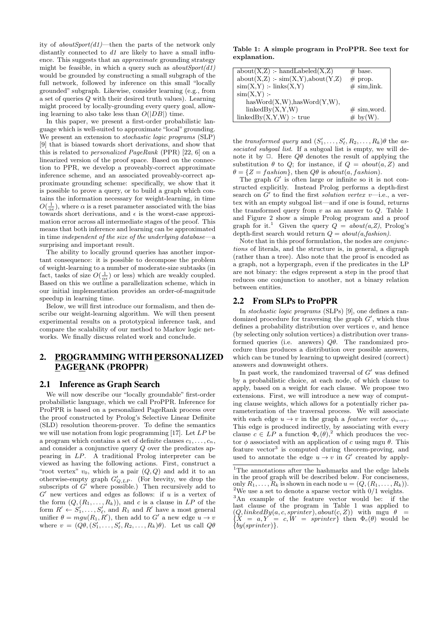ity of  $aboutSpot(d1)$ —then the parts of the network only distantly connected to  $d1$  are likely to have a small influence. This suggests that an approximate grounding strategy might be feasible, in which a query such as  $aboutSpot(d1)$ would be grounded by constructing a small subgraph of the full network, followed by inference on this small "locally grounded" subgraph. Likewise, consider learning (e.g., from a set of queries Q with their desired truth values). Learning might proceed by locally-grounding every query goal, allowing learning to also take less than  $O(|DB|)$  time.

In this paper, we present a first-order probabilistic language which is well-suited to approximate "local" grounding. We present an extension to stochastic logic programs (SLP) [9] that is biased towards short derivations, and show that this is related to personalized PageRank (PPR) [22, 6] on a linearized version of the proof space. Based on the connection to PPR, we develop a proveably-correct approximate inference scheme, and an associated proveably-correct approximate grounding scheme: specifically, we show that it is possible to prove a query, or to build a graph which contains the information necessary for weight-learning, in time  $O(\frac{1}{\alpha \epsilon})$ , where  $\alpha$  is a reset parameter associated with the bias towards short derivations, and  $\epsilon$  is the worst-case approximation error across all intermediate stages of the proof. This means that both inference and learning can be approximated in time independent of the size of the underlying database—a surprising and important result.

The ability to locally ground queries has another important consequence: it is possible to decompose the problem of weight-learning to a number of moderate-size subtasks (in fact, tasks of size  $O(\frac{1}{\alpha \epsilon})$  or less) which are weakly coupled. Based on this we outline a parallelization scheme, which in our initial implementation provides an order-of-magnitude speedup in learning time.

Below, we will first introduce our formalism, and then describe our weight-learning algorithm. We will then present experimental results on a prototypical inference task, and compare the scalability of our method to Markov logic networks. We finally discuss related work and conclude.

## 2. PROGRAMMING WITH PERSONALIZED PAGERANK (PROPPR)

#### 2.1 Inference as Graph Search

We will now describe our "locally groundable" first-order probabilistic language, which we call ProPPR. Inference for ProPPR is based on a personalized PageRank process over the proof constructed by Prolog's Selective Linear Definite (SLD) resolution theorem-prover. To define the semantics we will use notation from logic programming [17]. Let LP be a program which contains a set of definite clauses  $c_1, \ldots, c_n$ , and consider a conjunctive query  $Q$  over the predicates appearing in LP. A traditional Prolog interpreter can be viewed as having the following actions. First, construct a "root vertex"  $v_0$ , which is a pair  $(Q, Q)$  and add it to an otherwise-empty graph  $G'_{Q,LP}$ . (For brevity, we drop the subscripts of  $G'$  where possible.) Then recursively add to  $G'$  new vertices and edges as follows: if  $u$  is a vertex of the form  $(Q, (R_1, \ldots, R_k))$ , and c is a clause in LP of the form  $R' \leftarrow S'_1, \ldots, S'_\ell$ , and  $R_1$  and  $R'$  have a most general unifier  $\theta = mgu(R_1, R')$ , then add to G' a new edge  $u \to v$ where  $v = (Q\theta, (S'_1, \ldots, S'_\ell, R_2, \ldots, R_k)\theta)$ . Let us call  $Q\theta$ 

Table 1: A simple program in ProPPR. See text for explanation.

| $about(X,Z)$ : handLabeled $(X,Z)$   | $# \text{ base.}$       |
|--------------------------------------|-------------------------|
| $about(X,Z)$ : $sim(X,Y),about(Y,Z)$ | $#$ prop.               |
| $sim(X,Y)$ :- links $(X,Y)$          | $# \, \text{sim,link.}$ |
| $sim(X,Y)$ :-                        |                         |
| hasWord(X,W), hasWord(Y,W),          |                         |
| linkedBy(X,Y,W)                      | $# \, \text{sim,word.}$ |
| $linkedBy(X,Y,W)$ :- true            | $\#$ by $(W)$ .         |

the transformed query and  $(S'_1, \ldots, S'_\ell, R_2, \ldots, R_k) \theta$  the associated subgoal list. If a subgoal list is empty, we will denote it by  $\Box$ . Here  $Q\theta$  denotes the result of applying the substitution  $\theta$  to  $Q$ ; for instance, if  $Q = about(a, Z)$  and  $\theta = \{Z = fashion\}$ , then  $Q\theta$  is about(a, fashion).

The graph  $G'$  is often large or infinite so it is not constructed explicitly. Instead Prolog performs a depth-first search on  $G'$  to find the first *solution vertex v*—i.e., a vertex with an empty subgoal list—and if one is found, returns the transformed query from  $v$  as an answer to  $Q$ . Table 1 and Figure 2 show a simple Prolog program and a proof graph for it.<sup>1</sup> Given the query  $Q = about(a, Z)$ , Prolog's depth-first search would return  $Q = about(a, fashion)$ .

Note that in this proof formulation, the nodes are conjunctions of literals, and the structure is, in general, a digraph (rather than a tree). Also note that the proof is encoded as a graph, not a hypergraph, even if the predicates in the LP are not binary: the edges represent a step in the proof that reduces one conjunction to another, not a binary relation between entities.

#### 2.2 From SLPs to ProPPR

In stochastic logic programs (SLPs) [9], one defines a randomized procedure for traversing the graph  $G'$ , which thus defines a probability distribution over vertices  $v$ , and hence (by selecting only solution vertices) a distribution over transformed queries (i.e. answers)  $Q\theta$ . The randomized procedure thus produces a distribution over possible answers, which can be tuned by learning to upweight desired (correct) answers and downweight others.

In past work, the randomized traversal of  $G'$  was defined by a probabilistic choice, at each node, of which clause to apply, based on a weight for each clause. We propose two extensions. First, we will introduce a new way of computing clause weights, which allows for a potentially richer parameterization of the traversal process. We will associate with each edge  $u \to v$  in the graph a *feature vector*  $\phi_{u \to v}$ . This edge is produced indirectly, by associating with every clause  $c \in LP$  a function  $\Phi_c(\theta)$ , which produces the vector  $\phi$  associated with an application of c using mgu  $\theta$ . This feature vector<sup>3</sup> is computed during theorem-proving, and used to annotate the edge  $u \to v$  in G' created by apply-

 $1$ <sup>1</sup>The annotations after the hashmarks and the edge labels in the proof graph will be described below. For conciseness, only  $R_1, \ldots, R_k$  is shown in each node  $u = (Q, (R_1, \ldots, R_k)).$ <sup>2</sup>We use a set to denote a sparse vector with  $0/1$  weights.

<sup>3</sup>An example of the feature vector would be: if the last clause of the program in Table 1 was applied to  $(Q, linkedBy(a, c, sprinter), about(c, Z))$  with mgu  $\theta =$  ${X = a, Y = c, W = sprinter}$  then  $\Phi_c(\theta)$  would be  ${by (sprinter)}$ .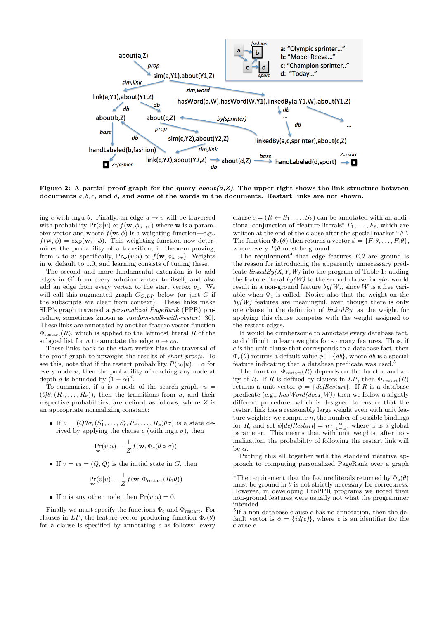

Figure 2: A partial proof graph for the query  $about(a, Z)$ . The upper right shows the link structure between documents  $a, b, c$ , and  $d$ , and some of the words in the documents. Restart links are not shown.

ing c with mgu  $\theta$ . Finally, an edge  $u \to v$  will be traversed with probability  $Pr(v|u) \propto f(\mathbf{w}, \phi_{u\to v})$  where **w** is a parameter vector and where  $f(\mathbf{w}, \phi)$  is a weighting function—e.g.,  $f(\mathbf{w}, \phi) = \exp(\mathbf{w}_i \cdot \phi)$ . This weighting function now determines the probability of a transition, in theorem-proving, from u to v: specifically,  $Pr_{\mathbf{w}}(v|u) \propto f(\mathbf{w}, \phi_{u\to v})$ . Weights in w default to 1.0, and learning consists of tuning these.

The second and more fundamental extension is to add edges in  $G'$  from every solution vertex to itself, and also add an edge from every vertex to the start vertex  $v_0$ . We will call this augmented graph  $G_{Q,LP}$  below (or just G if the subscripts are clear from context). These links make SLP's graph traversal a *personalized* PageRank (PPR) procedure, sometimes known as random-walk-with-restart [30]. These links are annotated by another feature vector function  $\Phi_{\text{restart}}(R)$ , which is applied to the leftmost literal R of the subgoal list for u to annotate the edge  $u \to v_0$ .

These links back to the start vertex bias the traversal of the proof graph to upweight the results of short proofs. To see this, note that if the restart probability  $P(v_0|u) = \alpha$  for every node u, then the probability of reaching any node at depth d is bounded by  $(1 - \alpha)^d$ .

To summarize, if u is a node of the search graph,  $u =$  $(Q\theta, (R_1, \ldots, R_k))$ , then the transitions from u, and their respective probabilities, are defined as follows, where Z is an appropriate normalizing constant:

• If  $v = (Q\theta\sigma, (S'_1, \ldots, S'_\ell, R2, \ldots, R_k)\theta\sigma)$  is a state derived by applying the clause c (with mgu  $\sigma$ ), then

$$
\Pr_{\mathbf{w}}(v|u) = \frac{1}{Z} f(\mathbf{w}, \Phi_c(\theta \circ \sigma))
$$

• If  $v = v_0 = (Q, Q)$  is the initial state in G, then

$$
\Pr_{\mathbf{w}}(v|u) = \frac{1}{Z} f(\mathbf{w}, \Phi_{\text{restart}}(R_1\theta))
$$

• If v is any other node, then  $Pr(v|u) = 0$ .

Finally we must specify the functions  $\Phi_c$  and  $\Phi_{\text{restart}}$ . For clauses in LP, the feature-vector producing function  $\Phi_c(\theta)$ for a clause is specified by annotating  $c$  as follows: every clause  $c = (R \leftarrow S_1, \ldots, S_k)$  can be annotated with an additional conjunction of "feature literals"  $F_1, \ldots, F_\ell$ , which are written at the end of the clause after the special marker "#". The function  $\Phi_c(\theta)$  then returns a vector  $\phi = \{F_1\theta, \ldots, F_\ell\theta\},\$ where every  $F_i \theta$  must be ground.

The requirement<sup>4</sup> that edge features  $F_i \theta$  are ground is the reason for introducing the apparently unnecessary predicate  $linkedBy(X, Y, W)$  into the program of Table 1: adding the feature literal  $by(W)$  to the second clause for sim would result in a non-ground feature  $by(W)$ , since W is a free variable when  $\Phi_c$  is called. Notice also that the weight on the  $by(W)$  features are meaningful, even though there is only one clause in the definition of  $linkedBy$ , as the weight for applying this clause competes with the weight assigned to the restart edges.

It would be cumbersome to annotate every database fact, and difficult to learn weights for so many features. Thus, if c is the unit clause that corresponds to a database fact, then  $\Phi_c(\theta)$  returns a default value  $\phi = \{db\}$ , where db is a special feature indicating that a database predicate was used.<sup>5</sup>

The function  $\Phi_{\text{restart}}(R)$  depends on the functor and arity of R. If R is defined by clauses in  $LP$ , then  $\Phi_{\text{restart}}(R)$ returns a unit vector  $\phi = \{ \text{defRestart} \}.$  If R is a database predicate (e.g.,  $hasWord(doc1, W)$ ) then we follow a slightly different procedure, which is designed to ensure that the restart link has a reasonably large weight even with unit feature weights: we compute  $n$ , the number of possible bindings for R, and set  $\phi[default] = n \cdot \frac{\alpha}{1-\alpha}$ , where  $\alpha$  is a global parameter. This means that with unit weights, after normalization, the probability of following the restart link will be  $\alpha$ .

Putting this all together with the standard iterative approach to computing personalized PageRank over a graph

<sup>&</sup>lt;sup>4</sup>The requirement that the feature literals returned by  $\Phi_c(\theta)$ must be ground in  $\theta$  is not strictly necessary for correctness. However, in developing ProPPR programs we noted than non-ground features were usually not what the programmer intended.

 ${}^{5}$ If a non-database clause c has no annotation, then the default vector is  $\phi = \{id(c)\}\text{, where } c \text{ is an identifier for the }$ clause c.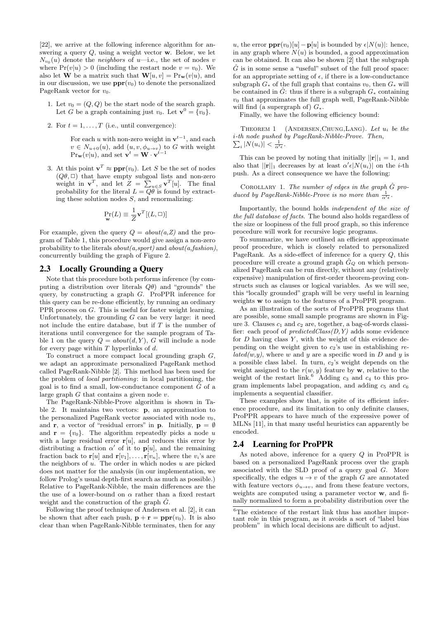[22], we arrive at the following inference algorithm for answering a query Q, using a weight vector w. Below, we let  $N_{v_0}(u)$  denote the *neighbors* of u—i.e., the set of nodes v where  $Pr(v|u) > 0$  (including the restart node  $v = v_0$ ). We also let **W** be a matrix such that  $\mathbf{W}[u, v] = \text{Pr}_{\mathbf{w}}(v|u)$ , and in our discussion, we use  $\text{ppr}(v_0)$  to denote the personalized PageRank vector for  $v_0$ .

- 1. Let  $v_0 = (Q, Q)$  be the start node of the search graph. Let G be a graph containing just  $v_0$ . Let  $\mathbf{v}^0 = \{v_0\}.$
- 2. For  $t = 1, \ldots, T$  (i.e., until convergence):

For each u with non-zero weight in  $v^{t-1}$ , and each  $v \in N_{u+0}(u)$ , add  $(u, v, \phi_{u\to v})$  to G with weight  $Pr_{\mathbf{w}}(v|u)$ , and set  $\mathbf{v}^t = \mathbf{W} \cdot \mathbf{v}^{t-1}$ 

3. At this point  $\mathbf{v}^T \approx \mathbf{ppr}(v_0)$ . Let S be the set of nodes  $(Q\theta, \Box)$  that have empty subgoal lists and non-zero weight in  $\mathbf{v}^T$ , and let  $Z = \sum_{u \in S} \mathbf{v}^T[u]$ . The final probability for the literal  $L = Q\theta$  is found by extracting these solution nodes  $S$ , and renormalizing:

$$
\Pr_{\mathbf{w}}(L) \equiv \frac{1}{Z} \mathbf{v}^{T}[(L, \Box)]
$$

For example, given the query  $Q = about(a, Z)$  and the program of Table 1, this procedure would give assign a non-zero probability to the literals  $about(a, sport)$  and  $about(a, fashion)$ , concurrently building the graph of Figure 2.

#### 2.3 Locally Grounding a Query

Note that this procedure both performs inference (by computing a distribution over literals  $O\theta$ ) and "grounds" the query, by constructing a graph G. ProPPR inference for this query can be re-done efficiently, by running an ordinary PPR process on G. This is useful for faster weight learning. Unfortunately, the grounding  $G$  can be very large: it need not include the entire database, but if  $T$  is the number of iterations until convergence for the sample program of Table 1 on the query  $Q = about(d, Y)$ , G will include a node for every page within  $T$  hyperlinks of  $d$ .

To construct a more compact local grounding graph  $G$ , we adapt an approximate personalized PageRank method called PageRank-Nibble [2]. This method has been used for the problem of local partitioning: in local partitioning, the goal is to find a small, low-conductance component  $G$  of a large graph  $G$  that contains a given node  $v$ .

The PageRank-Nibble-Prove algorithm is shown in Table 2. It maintains two vectors: p, an approximation to the personalized PageRank vector associated with node  $v_0$ , and **r**, a vector of "residual errors" in **p**. Initially, **p** =  $\emptyset$ and  $\mathbf{r} = \{v_0\}$ . The algorithm repeatedly picks a node u with a large residual error  $r[u]$ , and reduces this error by distributing a fraction  $\alpha'$  of it to  $p[u]$ , and the remaining fraction back to  $\mathbf{r}[u]$  and  $\mathbf{r}[v_1], \ldots, \mathbf{r}[v_n]$ , where the  $v_i$ 's are the neighbors of  $u$ . The order in which nodes  $u$  are picked does not matter for the analysis (in our implementation, we follow Prolog's usual depth-first search as much as possible.) Relative to PageRank-Nibble, the main differences are the the use of a lower-bound on  $\alpha$  rather than a fixed restart weight and the construction of the graph  $\ddot{G}$ .

Following the proof technique of Andersen et al. [2], it can be shown that after each push,  $\mathbf{p} + \mathbf{r} = \mathbf{p}\mathbf{p}\mathbf{r}(v_0)$ . It is also clear than when PageRank-Nibble terminates, then for any

u, the error  $\mathbf{ppr}(v_0)[u] - \mathbf{p}[u]$  is bounded by  $\epsilon|N(u)|$ : hence, in any graph where  $N(u)$  is bounded, a good approximation can be obtained. It can also be shown [2] that the subgraph  $\hat{G}$  is in some sense a "useful" subset of the full proof space: for an appropriate setting of  $\epsilon$ , if there is a low-conductance subgraph  $G_*$  of the full graph that contains  $v_0$ , then  $G_*$  will be contained in  $\hat{G}$ : thus if there is a subgraph  $G_*$  containing  $v_0$  that approximates the full graph well, PageRank-Nibble will find (a supergraph of)  $G_*$ .

Finally, we have the following efficiency bound:

THEOREM 1 (ANDERSEN, CHUNG, LANG). Let  $u_i$  be the i -th node pushed by PageRank-Nibble-Prove. Then,  $\sum_i |N(u_i)| < \frac{1}{\alpha' \epsilon}$ .

This can be proved by noting that initially  $||\mathbf{r}||_1 = 1$ , and also that  $||\mathbf{r}||_1$  decreases by at least  $\alpha' \epsilon |N(u_i)|$  on the *i*-th push. As a direct consequence we have the following:

COROLLARY 1. The number of edges in the graph  $\hat{G}$  produced by PageRank-Nibble-Prove is no more than  $\frac{1}{\alpha'\epsilon}$ .

Importantly, the bound holds independent of the size of the full database of facts. The bound also holds regardless of the size or loopiness of the full proof graph, so this inference procedure will work for recursive logic programs.

To summarize, we have outlined an efficient approximate proof procedure, which is closely related to personalized PageRank. As a side-effect of inference for a query  $Q$ , this procedure will create a ground graph  $\hat{G}_Q$  on which personalized PageRank can be run directly, without any (relatively expensive) manipulation of first-order theorem-proving constructs such as clauses or logical variables. As we will see, this "locally grounded" graph will be very useful in learning weights w to assign to the features of a ProPPR program.

As an illustration of the sorts of ProPPR programs that are possible, some small sample programs are shown in Figure 3. Clauses  $c_1$  and  $c_2$  are, together, a bag-of-words classifier: each proof of  $predictedClass(D, Y)$  adds some evidence for  $D$  having class  $Y$ , with the weight of this evidence depending on the weight given to  $c_2$ 's use in establishing re $lated(w, y)$ , where w and y are a specific word in D and y is a possible class label. In turn,  $c_2$ 's weight depends on the weight assigned to the  $r(w, y)$  feature by **w**, relative to the weight of the restart link.<sup>6</sup> Adding  $c_3$  and  $c_4$  to this program implements label propagation, and adding  $c_5$  and  $c_6$ implements a sequential classifier.

These examples show that, in spite of its efficient inference procedure, and its limitation to only definite clauses, ProPPR appears to have much of the expressive power of MLNs [11], in that many useful heuristics can apparently be encoded.

#### 2.4 Learning for ProPPR

As noted above, inference for a query Q in ProPPR is based on a personalized PageRank process over the graph associated with the SLD proof of a query goal G. More specifically, the edges  $u \to v$  of the graph G are annotated with feature vectors  $\phi_{u\to v}$ , and from these feature vectors, weights are computed using a parameter vector w, and finally normalized to form a probability distribution over the

<sup>&</sup>lt;sup>6</sup>The existence of the restart link thus has another important role in this program, as it avoids a sort of "label bias problem" in which local decisions are difficult to adjust.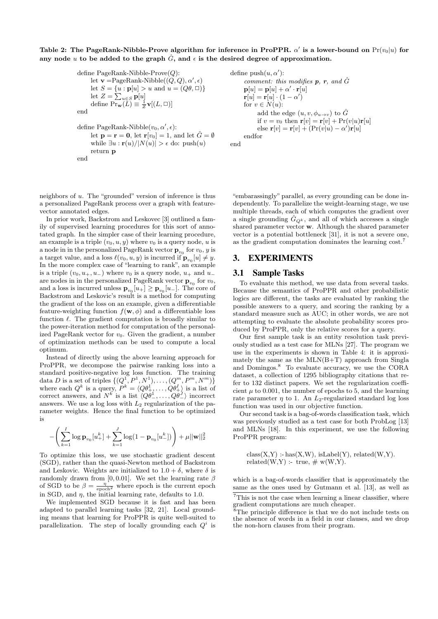Table 2: The PageRank-Nibble-Prove algorithm for inference in ProPPR.  $\alpha'$  is a lower-bound on  $Pr(v_0|u)$  for any node u to be added to the graph  $\hat{G}$ , and  $\epsilon$  is the desired degree of approximation.

define PageRank-Nibble-Prove(
$$
Q
$$
):  
\nlet  $\mathbf{v} = \text{PageRank-Nibble}((Q, Q), \alpha', \epsilon)$   
\nlet  $S = \{u : \mathbf{p}[u] > u \text{ and } u = (Q\theta, \Box)\}$   
\nlet  $Z = \sum_{u \in S} \mathbf{p}[u]$   
\ndefine  $\text{Pr}_{\mathbf{w}}(L) \equiv \frac{1}{Z} \mathbf{v}[(L, \Box)]$   
\nend  
\ndefine PageRank-Nibble( $v_0, \alpha', \epsilon$ ):  
\nlet  $\mathbf{p} = \mathbf{r} = \mathbf{0}$ , let  $\mathbf{r}[v_0] = 1$ , and let  $\hat{G} = \emptyset$   
\nwhile  $\exists u : \mathbf{r}(u)/|N(u)| > \epsilon$  do: push( $u$ )  
\nreturn  $\mathbf{p}$   
\nend

neighbors of u. The "grounded" version of inference is thus a personalized PageRank process over a graph with featurevector annotated edges.

In prior work, Backstrom and Leskovec [3] outlined a family of supervised learning procedures for this sort of annotated graph. In the simpler case of their learning procedure, an example is a triple  $(v_0, u, y)$  where  $v_0$  is a query node, u is a node in in the personalized PageRank vector  $\mathbf{p}_{v_0}$  for  $v_0, y$  is a target value, and a loss  $\ell(v_0, u, y)$  is incurred if  $\mathbf{p}_{v_0}[u] \neq y$ . In the more complex case of "learning to rank", an example is a triple  $(v_0, u_+, u_-)$  where  $v_0$  is a query node,  $u_+$  and  $u_$ are nodes in in the personalized PageRank vector  $\mathbf{p}_{v_0}$  for  $v_0$ , and a loss is incurred unless  $\mathbf{p}_{v_0}[u_+] \ge \mathbf{p}_{v_0}[u_-]$ . The core of Backstrom and Leskovic's result is a method for computing the gradient of the loss on an example, given a differentiable feature-weighting function  $f(\mathbf{w}, \phi)$  and a differentiable loss function  $\ell$ . The gradient computation is broadly similar to the power-iteration method for computation of the personalized PageRank vector for  $v_0$ . Given the gradient, a number of optimization methods can be used to compute a local optimum.

Instead of directly using the above learning approach for ProPPR, we decompose the pairwise ranking loss into a standard positive-negative log loss function. The training data D is a set of triples  $\{(Q^1, P^1, N^1), \ldots, (Q^m, P^m, N^m)\}$ where each  $Q^k$  is a query,  $P^k = \langle Q \theta_+^1, \ldots, Q \theta_+^I \rangle$  is a list of correct answers, and  $N^k$  is a list  $\langle Q\theta^1_-, \ldots, Q\theta^J_\alpha \rangle$  incorrect answers. We use a log loss with  $L_2$  regularization of the parameter weights. Hence the final function to be optimized is

$$
- \Bigg( \sum_{k=1}^{I} \log \mathbf{p}_{v_0}[u_+^k] + \sum_{k=1}^{J} \log(1-\mathbf{p}_{v_0}[u_-^k]) \Bigg) + \mu ||\mathbf{w}||_2^2
$$

To optimize this loss, we use stochastic gradient descent (SGD), rather than the quasi-Newton method of Backstrom and Leskovic. Weights are initialized to  $1.0 + \delta$ , where  $\delta$  is randomly drawn from [0, 0.01]. We set the learning rate  $\beta$ of SGD to be  $\beta = \frac{\eta}{\text{epoch}^2}$  where epoch is the current epoch in SGD, and  $\eta$ , the initial learning rate, defaults to 1.0.

We implemented SGD because it is fast and has been adapted to parallel learning tasks [32, 21]. Local grounding means that learning for ProPPR is quite well-suited to parallelization. The step of locally grounding each  $Q^i$  is

```
define push(u, \alpha'):
        comment: this modifies p, r, and \hat{G}\mathbf{p}[u] = \mathbf{p}[u] + \alpha' \cdot \mathbf{r}[u]\mathbf{r}[u] = \mathbf{r}[u] \cdot (1 - \alpha')for v \in N(u):
               add the edge (u, v, \phi_{u\to v}) to \hat{G}if v = v_0 then \mathbf{r}[v] = \mathbf{r}[v] + \Pr(v|u)\mathbf{r}[u]else \mathbf{r}[v] = \mathbf{r}[v] + (\text{Pr}(v|u) - \alpha')\mathbf{r}[u]endfor
end
```
"embarassingly" parallel, as every grounding can be done independently. To parallelize the weight-learning stage, we use multiple threads, each of which computes the gradient over a single grounding  $\hat{G}_{Q^k}$ , and all of which accesses a single shared parameter vector w. Although the shared parameter vector is a potential bottleneck [31], it is not a severe one, as the gradient computation dominates the learning cost.<sup>7</sup>

#### 3. EXPERIMENTS

### 3.1 Sample Tasks

To evaluate this method, we use data from several tasks. Because the semantics of ProPPR and other probabilistic logics are different, the tasks are evaluated by ranking the possible answers to a query, and scoring the ranking by a standard measure such as AUC; in other words, we are not attempting to evaluate the absolute probability scores produced by ProPPR, only the relative scores for a query.

Our first sample task is an entity resolution task previously studied as a test case for MLNs [27]. The program we use in the experiments is shown in Table 4: it is approximately the same as the  $MLN(B+T)$  approach from Singla and Domingos.<sup>8</sup> To evaluate accuracy, we use the CORA dataset, a collection of 1295 bibliography citations that refer to 132 distinct papers. We set the regularization coefficient  $\mu$  to 0.001, the number of epochs to 5, and the learning rate parameter  $\eta$  to 1. An  $L_2$ -regularized standard log loss function was used in our objective function.

Our second task is a bag-of-words classification task, which was previously studied as a test case for both ProbLog [13] and MLNs [18]. In this experiment, we use the following ProPPR program:

 $class(X,Y) : has(X,W), isLabel(Y), related(W,Y).$ related(W,Y) :- true,  $\# w(W,Y)$ .

which is a bag-of-words classifier that is approximately the same as the ones used by Gutmann et al. [13], as well as

 $7$ This is not the case when learning a linear classifier, where gradient computations are much cheaper.

The principle difference is that we do not include tests on the absence of words in a field in our clauses, and we drop the non-horn clauses from their program.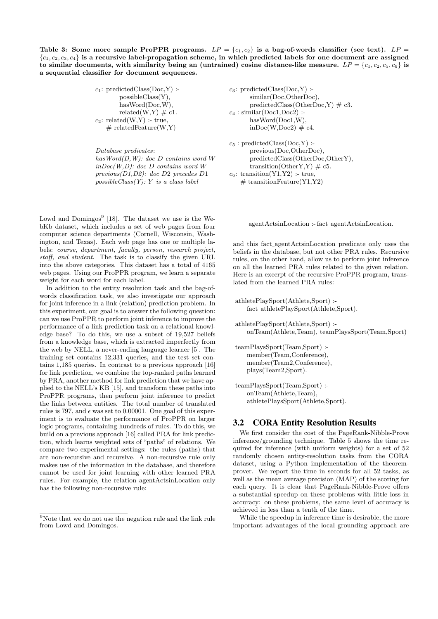Table 3: Some more sample ProPPR programs.  $LP = \{c_1, c_2\}$  is a bag-of-words classifier (see text).  $LP = \{c_1, c_2\}$  ${c_1, c_2, c_3, c_4}$  is a recursive label-propagation scheme, in which predicted labels for one document are assigned to similar documents, with similarity being an (untrained) cosine distance-like measure.  $LP = \{c_1, c_2, c_5, c_6\}$  is a sequential classifier for document sequences.

> $c_1$ : predictedClass(Doc,Y) :possibleClass(Y), hasWord(Doc,W), related(W,Y)  $\#$  c1.  $c_2$ : related(W,Y) :- true,  $\#$  relatedFeature(W,Y)

Database predicates: hasWord(D,W): doc D contains word W  $inDoc(W,D): doc(D) contains word W$ previous(D1,D2): doc D2 precedes D1  $possible Class(Y): Y$  is a class label

Lowd and Domingos<sup>9</sup> [18]. The dataset we use is the WebKb dataset, which includes a set of web pages from four computer science departments (Cornell, Wisconsin, Washington, and Texas). Each web page has one or multiple labels: course, department, faculty, person, research project, staff, and student. The task is to classify the given URL into the above categories. This dataset has a total of 4165 web pages. Using our ProPPR program, we learn a separate weight for each word for each label.

In addition to the entity resolution task and the bag-ofwords classification task, we also investigate our approach for joint inference in a link (relation) prediction problem. In this experiment, our goal is to answer the following question: can we use ProPPR to perform joint inference to improve the performance of a link prediction task on a relational knowledge base? To do this, we use a subset of 19,527 beliefs from a knowledge base, which is extracted imperfectly from the web by NELL, a never-ending language learner [5]. The training set contains 12,331 queries, and the test set contains 1,185 queries. In contrast to a previous approach [16] for link prediction, we combine the top-ranked paths learned by PRA, another method for link prediction that we have applied to the NELL's KB [15], and transform these paths into ProPPR programs, then perform joint inference to predict the links between entities. The total number of translated rules is 797, and  $\epsilon$  was set to 0.00001. One goal of this experiment is to evaluate the performance of ProPPR on larger logic programs, containing hundreds of rules. To do this, we build on a previous approach [16] called PRA for link prediction, which learns weighted sets of "paths" of relations. We compare two experimental settings: the rules (paths) that are non-recursive and recursive. A non-recursive rule only makes use of the information in the database, and therefore cannot be used for joint learning with other learned PRA rules. For example, the relation agentActsinLocation only has the following non-recursive rule:

```
c_3: predictedClass(Doc,Y) :-
      similar(Doc,OtherDoc),
      predictedClass(OtherDoc,Y) \# c3.
c_4: similar(Doc1,Doc2) :-
      hasWord(Doc1,W),
      inDoc(W,Doc2) \# c4.c_5: predictedClass(Doc,Y) :-
```

```
previous(Doc,OtherDoc),
      predictedClass(OtherDoc,OtherY),
      transition(OtherY,Y) \# c5.
c_6: transition(Y1,Y2) :- true,
   # transitionFeature(Y1,Y2)
```
agentActsinLocation :- fact agentActsinLocation.

and this fact agentActsinLocation predicate only uses the beliefs in the database, but not other PRA rules. Recursive rules, on the other hand, allow us to perform joint inference on all the learned PRA rules related to the given relation. Here is an excerpt of the recursive ProPPR program, translated from the learned PRA rules:

```
athletePlaySport(Athlete,Sport) :-
   fact athletePlaySport(Athlete,Sport).
athletePlaySport(Athlete,Sport) :-
   onTeam(Athlete,Team), teamPlaysSport(Team,Sport)
teamPlaysSport(Team,Sport) :-
   member(Team,Conference),
   member(Team2,Conference),
   plays(Team2,Sport).
teamPlaysSport(Team,Sport) :-
```
## 3.2 CORA Entity Resolution Results

athletePlaysSport(Athlete,Sport).

onTeam(Athlete,Team),

We first consider the cost of the PageRank-Nibble-Prove inference/grounding technique. Table 5 shows the time required for inference (with uniform weights) for a set of 52 randomly chosen entity-resolution tasks from the CORA dataset, using a Python implementation of the theoremprover. We report the time in seconds for all 52 tasks, as well as the mean average precision (MAP) of the scoring for each query. It is clear that PageRank-Nibble-Prove offers a substantial speedup on these problems with little loss in accuracy: on these problems, the same level of accuracy is achieved in less than a tenth of the time.

While the speedup in inference time is desirable, the more important advantages of the local grounding approach are

 $9^9$ Note that we do not use the negation rule and the link rule from Lowd and Domingos.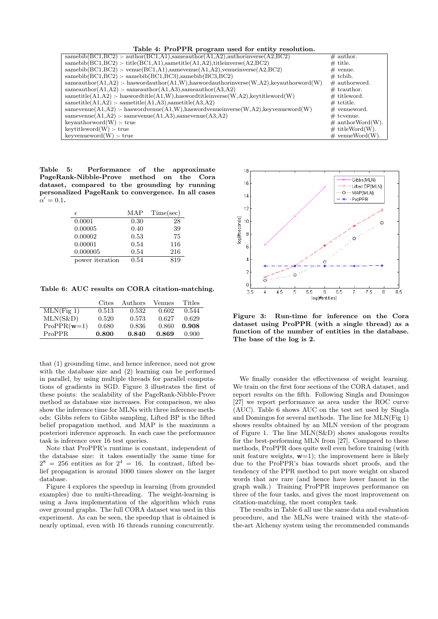Table 4: ProPPR program used for entity resolution.

| ---- <i>-----</i> -----                                                                              |                     |
|------------------------------------------------------------------------------------------------------|---------------------|
| samebib $(BC1, BC2)$ : author $(BC1, A1)$ , sameauthor $(A1, A2)$ , authorinverse $(A2, BC2)$        | $\#$ author.        |
| $samebib(BC1, BC2)$ :-title( $BC1,A1$ ), sametitle( $A1,A2$ ), titleinverse( $A2, BC2$ )             | $#$ title.          |
| samebib( $BC1, BC2$ ) :- venue( $BC1, A1$ ), samevenue( $A1, A2$ ), venue inverse( $A2, BC2$ )       | $\#$ venue.         |
| $samebib(BC1, BC2)$ : $samebib(BC1, BC3), samebib(BC3, BC2)$                                         | $#$ tcbib.          |
| sameauthor(A1,A2) :- has wordauthor(A1,W), has wordauthor inverse $(W, A2)$ , key author word $(W)$  | $\#$ authorword.    |
| sameauthor $(A1, A2)$ : - sameauthor $(A1, A3)$ , sameauthor $(A3, A2)$                              | $#$ teauthor.       |
| $same title(A1, A2)$ :- haswordtitle( $A1, W$ ), haswordtitleinverse( $W, A2$ ), keytitleword( $W$ ) | $#$ titleword.      |
| $same title(A1, A2)$ :- sametitle(A1,A3),sametitle(A3,A2)                                            | $\#$ tctitle.       |
| samevenue $(A1, A2)$ :- haswordvenue $(A1, W)$ , haswordvenueinverse $(W, A2)$ , keyvenueword $(W)$  | $#$ venueword.      |
| $same$ venue $(A1, A2)$ : $same$ venue $(A1, A3)$ , samevenue $(A3, A2)$                             | $#$ tcyenue.        |
| keyauthorword(W) : true                                                                              | $\#$ authorWord(W). |
| keytitleword(W) : true                                                                               | $\#$ titleWord(W).  |
| $key$ venueword $(W)$ :- true                                                                        | $\#$ venueWord(W).  |
|                                                                                                      |                     |

Table 5: Performance of the approximate PageRank-Nibble-Prove method on the Cora dataset, compared to the grounding by running personalized PageRank to convergence. In all cases  $\alpha' = 0.1$ .

| $\epsilon$      | MAP  | Time(sec) |
|-----------------|------|-----------|
| 0.0001          | 0.30 | 28        |
| 0.00005         | 0.40 | 39        |
| 0.00002         | 0.53 | 75        |
| 0.00001         | 0.54 | 116       |
| 0.000005        | 0.54 | 216       |
| power iteration | 0.54 | 819       |

Table 6: AUC results on CORA citation-matching.

|               | Cites | Authors | Venues | Titles |
|---------------|-------|---------|--------|--------|
| $MLN$ (Fig 1) | 0.513 | 0.532   | 0.602  | 0.544  |
| $MLN(S\&D)$   | 0.520 | 0.573   | 0.627  | 0.629  |
| $ProPR(w=1)$  | 0.680 | 0.836   | 0.860  | 0.908  |
| ProPPR        | 0.800 | 0.840   | 0.869  | 0.900  |

that (1) grounding time, and hence inference, need not grow with the database size and (2) learning can be performed in parallel, by using multiple threads for parallel computations of gradients in SGD. Figure 3 illustrates the first of these points: the scalability of the PageRank-Nibble-Prove method as database size increases. For comparison, we also show the inference time for MLNs with three inference methods: Gibbs refers to Gibbs sampling, Lifted BP is the lifted belief propagation method, and MAP is the maximum a posteriori inference approach. In each case the performance task is inference over 16 test queries.

Note that ProPPR's runtime is constant, independent of the database size: it takes essentially the same time for  $2^8 = 256$  entities as for  $2^4 = 16$ . In contrast, lifted belief propagation is around 1000 times slower on the larger database.

Figure 4 explores the speedup in learning (from grounded examples) due to multi-threading. The weight-learning is using a Java implementation of the algorithm which runs over ground graphs. The full CORA dataset was used in this experiment. As can be seen, the speedup that is obtained is nearly optimal, even with 16 threads running concurrently.



Figure 3: Run-time for inference on the Cora dataset using ProPPR (with a single thread) as a function of the number of entities in the database. The base of the log is 2.

We finally consider the effectiveness of weight learning. We train on the first four sections of the CORA dataset, and report results on the fifth. Following Singla and Domingos [27] we report performance as area under the ROC curve (AUC). Table 6 shows AUC on the test set used by Singla and Domingos for several methods. The line for MLN(Fig 1) shows results obtained by an MLN version of the program of Figure 1. The line MLN(S&D) shows analogous results for the best-performing MLN from [27]. Compared to these methods, ProPPR does quite well even before training (with unit feature weights,  $w=1$ ; the improvement here is likely due to the ProPPR's bias towards short proofs, and the tendency of the PPR method to put more weight on shared words that are rare (and hence have lower fanout in the graph walk.) Training ProPPR improves performance on three of the four tasks, and gives the most improvement on citation-matching, the most complex task.

The results in Table 6 all use the same data and evaluation procedure, and the MLNs were trained with the state-ofthe-art Alchemy system using the recommended commands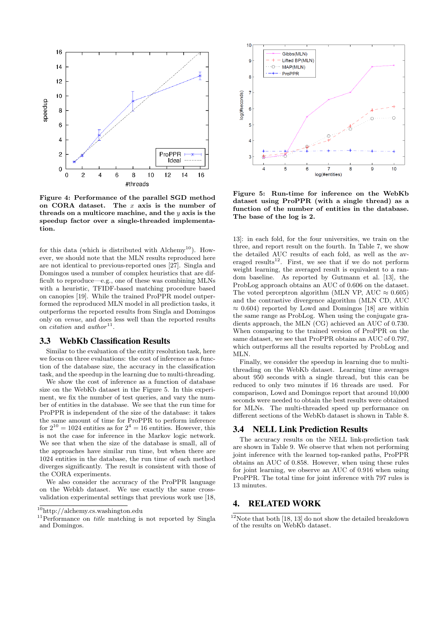

Figure 4: Performance of the parallel SGD method on CORA dataset. The  $x$  axis is the number of threads on a multicore machine, and the  $y$  axis is the speedup factor over a single-threaded implementation.

for this data (which is distributed with Alchemy<sup>10</sup>). However, we should note that the MLN results reproduced here are not identical to previous-reported ones [27]. Singla and Domingos used a number of complex heuristics that are difficult to reproduce—e.g., one of these was combining MLNs with a heuristic, TFIDF-based matching procedure based on canopies [19]. While the trained ProPPR model outperformed the reproduced MLN model in all prediction tasks, it outperforms the reported results from Singla and Domingos only on venue, and does less well than the reported results on *citation* and  $\alpha$ uthor<sup>11</sup>.

## 3.3 WebKb Classification Results

Similar to the evaluation of the entity resolution task, here we focus on three evaluations: the cost of inference as a function of the database size, the accuracy in the classification task, and the speedup in the learning due to multi-threading.

We show the cost of inference as a function of database size on the WebKb dataset in the Figure 5. In this experiment, we fix the number of test queries, and vary the number of entities in the database. We see that the run time for ProPPR is independent of the size of the database: it takes the same amount of time for ProPPR to perform inference for  $2^{10} = 1024$  entities as for  $2^4 = 16$  entities. However, this is not the case for inference in the Markov logic network. We see that when the size of the database is small, all of the approaches have similar run time, but when there are 1024 entities in the database, the run time of each method diverges significantly. The result is consistent with those of the CORA experiments.

We also consider the accuracy of the ProPPR language on the Webkb dataset. We use exactly the same crossvalidation experimental settings that previous work use [18,



Figure 5: Run-time for inference on the WebKb dataset using ProPPR (with a single thread) as a function of the number of entities in the database. The base of the log is 2.

13]: in each fold, for the four universities, we train on the three, and report result on the fourth. In Table 7, we show the detailed AUC results of each fold, as well as the averaged results<sup>12</sup>. First, we see that if we do not perform weight learning, the averaged result is equivalent to a random baseline. As reported by Gutmann et al. [13], the ProbLog approach obtains an AUC of 0.606 on the dataset. The voted perceptron algorithm (MLN VP, AUC  $\approx 0.605$ ) and the contrastive divergence algorithm (MLN CD, AUC  $\approx 0.604$ ) reported by Lowd and Domingos [18] are within the same range as ProbLog. When using the conjugate gradients approach, the MLN (CG) achieved an AUC of 0.730. When comparing to the trained version of ProPPR on the same dataset, we see that ProPPR obtains an AUC of 0.797, which outperforms all the results reported by ProbLog and MLN.

Finally, we consider the speedup in learning due to multithreading on the WebKb dataset. Learning time averages about 950 seconds with a single thread, but this can be reduced to only two minutes if 16 threads are used. For comparison, Lowd and Domingos report that around 10,000 seconds were needed to obtain the best results were obtained for MLNs. The multi-threaded speed up performance on different sections of the WebKb dataset is shown in Table 8.

#### 3.4 NELL Link Prediction Results

The accuracy results on the NELL link-prediction task are shown in Table 9. We observe that when not performing joint inference with the learned top-ranked paths, ProPPR obtains an AUC of 0.858. However, when using these rules for joint learning, we observe an AUC of 0.916 when using ProPPR. The total time for joint inference with 797 rules is 13 minutes.

## 4. RELATED WORK

<sup>10</sup>http://alchemy.cs.washington.edu

 $11$ Performance on *title* matching is not reported by Singla and Domingos.

 $12$ Note that both [18, 13] do not show the detailed breakdown of the results on WebKb dataset.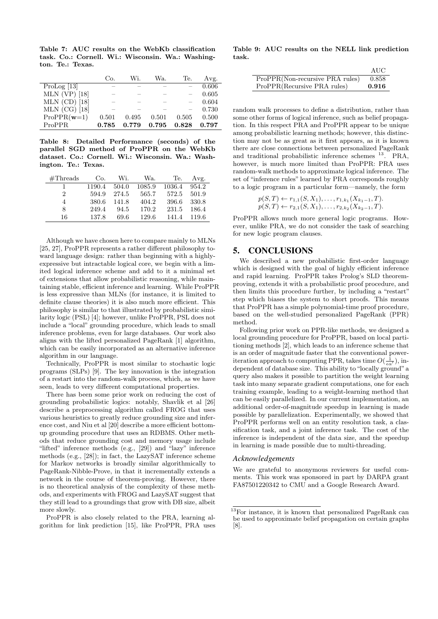Table 7: AUC results on the WebKb classification task. Co.: Cornell. Wi.: Wisconsin. Wa.: Washington. Te.: Texas.

|                 | Co.   | Wi.   | Wa.   | Te.                      | Avg.  |
|-----------------|-------|-------|-------|--------------------------|-------|
| ProLog $[13]$   |       |       |       |                          | 0.606 |
| $MLN$ (VP) [18] |       |       |       | $\overline{\phantom{0}}$ | 0.605 |
| $MLN$ (CD) [18] |       |       |       |                          | 0.604 |
| $MLN$ (CG) [18] |       |       |       |                          | 0.730 |
| $ProPR(w=1)$    | 0.501 | 0.495 | 0.501 | 0.505                    | 0.500 |
| <b>ProPPR</b>   | 0.785 | 0.779 | 0.795 | 0.828                    | 0.797 |

Table 8: Detailed Performance (seconds) of the parallel SGD method of ProPPR on the WebKb dataset. Co.: Cornell. Wi.: Wisconsin. Wa.: Washington. Te.: Texas.

| #Threads | Co.    | Wi.   | Wa.    | Te.    | Avg.  |
|----------|--------|-------|--------|--------|-------|
|          | 1190.4 | 504.0 | 1085.9 | 1036.4 | 954.2 |
| 2        | 594.9  | 274.5 | 565.7  | 572.5  | 501.9 |
| 4        | 380.6  | 141.8 | 404.2  | 396.6  | 330.8 |
| 8        | 249.4  | 94.5  | 170.2  | 231.5  | 186.4 |
| 16       | 137.8  | 69.6  | 129.6  | 141.4  | 119.6 |

Although we have chosen here to compare mainly to MLNs [25, 27], ProPPR represents a rather different philosophy toward language design: rather than beginning with a highlyexpressive but intractable logical core, we begin with a limited logical inference scheme and add to it a minimal set of extensions that allow probabilistic reasoning, while maintaining stable, efficient inference and learning. While ProPPR is less expressive than MLNs (for instance, it is limited to definite clause theories) it is also much more efficient. This philosophy is similar to that illustrated by probabilistic similarity logic (PSL) [4]; however, unlike ProPPR, PSL does not include a "local" grounding procedure, which leads to small inference problems, even for large databases. Our work also aligns with the lifted personalized PageRank [1] algorithm, which can be easily incorporated as an alternative inference algorithm in our language.

Technically, ProPPR is most similar to stochastic logic programs (SLPs) [9]. The key innovation is the integration of a restart into the random-walk process, which, as we have seen, leads to very different computational properties.

There has been some prior work on reducing the cost of grounding probabilistic logics: notably, Shavlik et al [26] describe a preprocessing algorithm called FROG that uses various heuristics to greatly reduce grounding size and inference cost, and Niu et al [20] describe a more efficient bottomup grounding procedure that uses an RDBMS. Other methods that reduce grounding cost and memory usage include "lifted" inference methods (e.g., [29]) and "lazy" inference methods (e.g., [28]); in fact, the LazySAT inference scheme for Markov networks is broadly similar algorithmically to PageRank-Nibble-Prove, in that it incrementally extends a network in the course of theorem-proving. However, there is no theoretical analysis of the complexity of these methods, and experiments with FROG and LazySAT suggest that they still lead to a groundings that grow with DB size, albeit more slowly.

ProPPR is also closely related to the PRA, learning algorithm for link prediction [15], like ProPPR, PRA uses

Table 9: AUC results on the NELL link prediction task.

|                                 | AUC   |
|---------------------------------|-------|
| ProPPR(Non-recursive PRA rules) | 0.858 |
| ProPPR(Recursive PRA rules)     | 0.916 |

random walk processes to define a distribution, rather than some other forms of logical inference, such as belief propagation. In this respect PRA and ProPPR appear to be unique among probabilistic learning methods; however, this distinction may not be as great as it first appears, as it is known there are close connections between personalized PageRank and traditional probabilistic inference schemes <sup>13</sup>. PRA, however, is much more limited than ProPPR: PRA uses random-walk methods to approximate logical inference. The set of "inference rules" learned by PRA corresponds roughly to a logic program in a particular form—namely, the form

$$
p(S,T) \leftarrow r_{1,1}(S, X_1), \ldots, r_{1,k_1}(X_{k_1-1}, T).
$$
  

$$
p(S,T) \leftarrow r_{2,1}(S, X_1), \ldots, r_{2,k_2}(X_{k_2-1}, T).
$$

ProPPR allows much more general logic programs. However, unlike PRA, we do not consider the task of searching for new logic program clauses.

#### 5. CONCLUSIONS

We described a new probabilistic first-order language which is designed with the goal of highly efficient inference and rapid learning. ProPPR takes Prolog's SLD theoremproving, extends it with a probabilistic proof procedure, and then limits this procedure further, by including a "restart" step which biases the system to short proofs. This means that ProPPR has a simple polynomial-time proof procedure, based on the well-studied personalized PageRank (PPR) method.

Following prior work on PPR-like methods, we designed a local grounding procedure for ProPPR, based on local partitioning methods [2], which leads to an inference scheme that is an order of magnitude faster that the conventional poweriteration approach to computing PPR, takes time  $O(\frac{1}{\epsilon \alpha'})$ , independent of database size. This ability to "locally ground" a query also makes it possible to partition the weight learning task into many separate gradient computations, one for each training example, leading to a weight-learning method that can be easily parallelized. In our current implementation, an additional order-of-magnitude speedup in learning is made possible by parallelization. Experimentally, we showed that ProPPR performs well on an entity resolution task, a classification task, and a joint inference task. The cost of the inference is independent of the data size, and the speedup in learning is made possible due to multi-threading.

#### *Acknowledgements*

We are grateful to anonymous reviewers for useful comments. This work was sponsored in part by DARPA grant FA87501220342 to CMU and a Google Research Award.

<sup>&</sup>lt;sup>13</sup>For instance, it is known that personalized PageRank can be used to approximate belief propagation on certain graphs [8].